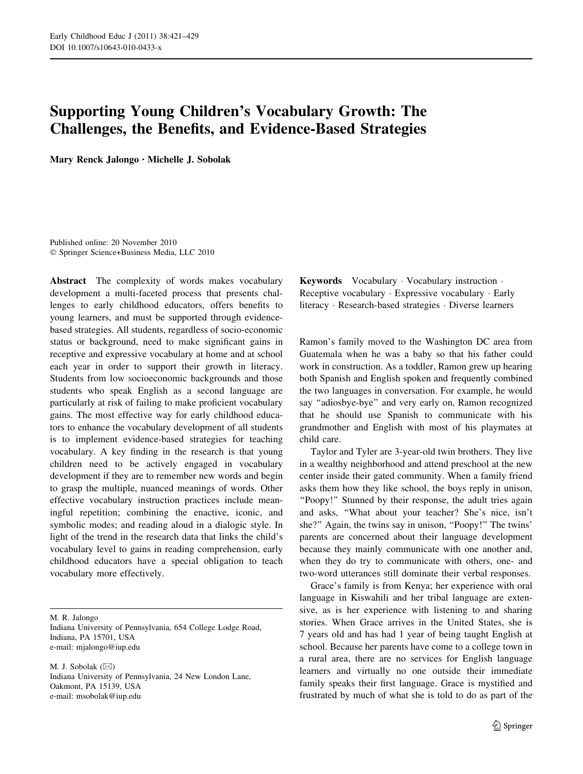# Supporting Young Children's Vocabulary Growth: The Challenges, the Benefits, and Evidence-Based Strategies

Mary Renck Jalongo • Michelle J. Sobolak

Published online: 20 November 2010 - Springer Science+Business Media, LLC 2010

Abstract The complexity of words makes vocabulary development a multi-faceted process that presents challenges to early childhood educators, offers benefits to young learners, and must be supported through evidencebased strategies. All students, regardless of socio-economic status or background, need to make significant gains in receptive and expressive vocabulary at home and at school each year in order to support their growth in literacy. Students from low socioeconomic backgrounds and those students who speak English as a second language are particularly at risk of failing to make proficient vocabulary gains. The most effective way for early childhood educators to enhance the vocabulary development of all students is to implement evidence-based strategies for teaching vocabulary. A key finding in the research is that young children need to be actively engaged in vocabulary development if they are to remember new words and begin to grasp the multiple, nuanced meanings of words. Other effective vocabulary instruction practices include meaningful repetition; combining the enactive, iconic, and symbolic modes; and reading aloud in a dialogic style. In light of the trend in the research data that links the child's vocabulary level to gains in reading comprehension, early childhood educators have a special obligation to teach vocabulary more effectively.

M. R. Jalongo

Indiana University of Pennsylvania, 654 College Lodge Road, Indiana, PA 15701, USA e-mail: mjalongo@iup.edu

M. J. Sobolak  $(\boxtimes)$ Indiana University of Pennsylvania, 24 New London Lane, Oakmont, PA 15139, USA e-mail: msobolak@iup.edu

Keywords Vocabulary - Vocabulary instruction - Receptive vocabulary - Expressive vocabulary - Early literacy - Research-based strategies - Diverse learners

Ramon's family moved to the Washington DC area from Guatemala when he was a baby so that his father could work in construction. As a toddler, Ramon grew up hearing both Spanish and English spoken and frequently combined the two languages in conversation. For example, he would say ''adiosbye-bye'' and very early on, Ramon recognized that he should use Spanish to communicate with his grandmother and English with most of his playmates at child care.

Taylor and Tyler are 3-year-old twin brothers. They live in a wealthy neighborhood and attend preschool at the new center inside their gated community. When a family friend asks them how they like school, the boys reply in unison, ''Poopy!'' Stunned by their response, the adult tries again and asks, ''What about your teacher? She's nice, isn't she?" Again, the twins say in unison, "Poopy!" The twins' parents are concerned about their language development because they mainly communicate with one another and, when they do try to communicate with others, one- and two-word utterances still dominate their verbal responses.

Grace's family is from Kenya; her experience with oral language in Kiswahili and her tribal language are extensive, as is her experience with listening to and sharing stories. When Grace arrives in the United States, she is 7 years old and has had 1 year of being taught English at school. Because her parents have come to a college town in a rural area, there are no services for English language learners and virtually no one outside their immediate family speaks their first language. Grace is mystified and frustrated by much of what she is told to do as part of the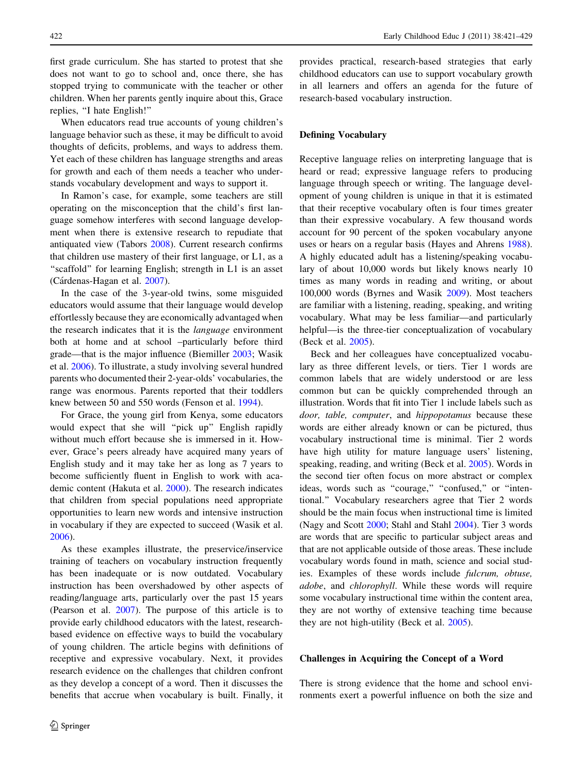first grade curriculum. She has started to protest that she does not want to go to school and, once there, she has stopped trying to communicate with the teacher or other children. When her parents gently inquire about this, Grace replies, ''I hate English!''

When educators read true accounts of young children's language behavior such as these, it may be difficult to avoid thoughts of deficits, problems, and ways to address them. Yet each of these children has language strengths and areas for growth and each of them needs a teacher who understands vocabulary development and ways to support it.

In Ramon's case, for example, some teachers are still operating on the misconception that the child's first language somehow interferes with second language development when there is extensive research to repudiate that antiquated view (Tabors 2008). Current research confirms that children use mastery of their first language, or L1, as a "scaffold" for learning English; strength in L1 is an asset (Cárdenas-Hagan et al. 2007).

In the case of the 3-year-old twins, some misguided educators would assume that their language would develop effortlessly because they are economically advantaged when the research indicates that it is the language environment both at home and at school –particularly before third grade—that is the major influence (Biemiller 2003; Wasik et al. 2006). To illustrate, a study involving several hundred parents who documented their 2-year-olds' vocabularies, the range was enormous. Parents reported that their toddlers knew between 50 and 550 words (Fenson et al. 1994).

For Grace, the young girl from Kenya, some educators would expect that she will ''pick up'' English rapidly without much effort because she is immersed in it. However, Grace's peers already have acquired many years of English study and it may take her as long as 7 years to become sufficiently fluent in English to work with academic content (Hakuta et al. 2000). The research indicates that children from special populations need appropriate opportunities to learn new words and intensive instruction in vocabulary if they are expected to succeed (Wasik et al. 2006).

As these examples illustrate, the preservice/inservice training of teachers on vocabulary instruction frequently has been inadequate or is now outdated. Vocabulary instruction has been overshadowed by other aspects of reading/language arts, particularly over the past 15 years (Pearson et al. 2007). The purpose of this article is to provide early childhood educators with the latest, researchbased evidence on effective ways to build the vocabulary of young children. The article begins with definitions of receptive and expressive vocabulary. Next, it provides research evidence on the challenges that children confront as they develop a concept of a word. Then it discusses the benefits that accrue when vocabulary is built. Finally, it provides practical, research-based strategies that early childhood educators can use to support vocabulary growth in all learners and offers an agenda for the future of research-based vocabulary instruction.

## Defining Vocabulary

Receptive language relies on interpreting language that is heard or read; expressive language refers to producing language through speech or writing. The language development of young children is unique in that it is estimated that their receptive vocabulary often is four times greater than their expressive vocabulary. A few thousand words account for 90 percent of the spoken vocabulary anyone uses or hears on a regular basis (Hayes and Ahrens 1988). A highly educated adult has a listening/speaking vocabulary of about 10,000 words but likely knows nearly 10 times as many words in reading and writing, or about 100,000 words (Byrnes and Wasik 2009). Most teachers are familiar with a listening, reading, speaking, and writing vocabulary. What may be less familiar—and particularly helpful—is the three-tier conceptualization of vocabulary (Beck et al. 2005).

Beck and her colleagues have conceptualized vocabulary as three different levels, or tiers. Tier 1 words are common labels that are widely understood or are less common but can be quickly comprehended through an illustration. Words that fit into Tier 1 include labels such as door, table, computer, and hippopotamus because these words are either already known or can be pictured, thus vocabulary instructional time is minimal. Tier 2 words have high utility for mature language users' listening, speaking, reading, and writing (Beck et al. 2005). Words in the second tier often focus on more abstract or complex ideas, words such as "courage," "confused," or "intentional.'' Vocabulary researchers agree that Tier 2 words should be the main focus when instructional time is limited (Nagy and Scott 2000; Stahl and Stahl 2004). Tier 3 words are words that are specific to particular subject areas and that are not applicable outside of those areas. These include vocabulary words found in math, science and social studies. Examples of these words include fulcrum, obtuse, adobe, and chlorophyll. While these words will require some vocabulary instructional time within the content area, they are not worthy of extensive teaching time because they are not high-utility (Beck et al. 2005).

## Challenges in Acquiring the Concept of a Word

There is strong evidence that the home and school environments exert a powerful influence on both the size and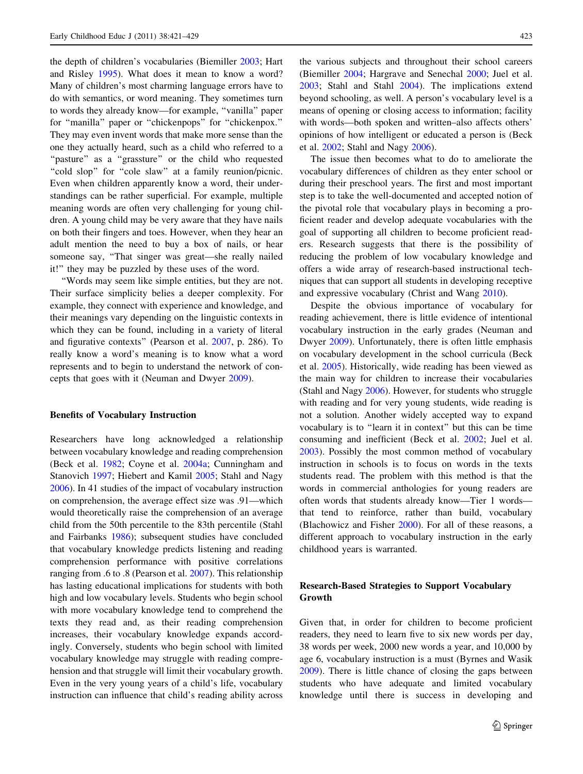the depth of children's vocabularies (Biemiller 2003; Hart and Risley 1995). What does it mean to know a word? Many of children's most charming language errors have to do with semantics, or word meaning. They sometimes turn to words they already know—for example, ''vanilla'' paper for ''manilla'' paper or ''chickenpops'' for ''chickenpox.'' They may even invent words that make more sense than the one they actually heard, such as a child who referred to a "pasture" as a "grassture" or the child who requested "cold slop" for "cole slaw" at a family reunion/picnic. Even when children apparently know a word, their understandings can be rather superficial. For example, multiple meaning words are often very challenging for young children. A young child may be very aware that they have nails on both their fingers and toes. However, when they hear an adult mention the need to buy a box of nails, or hear someone say, ''That singer was great—she really nailed it!'' they may be puzzled by these uses of the word.

''Words may seem like simple entities, but they are not. Their surface simplicity belies a deeper complexity. For example, they connect with experience and knowledge, and their meanings vary depending on the linguistic contexts in which they can be found, including in a variety of literal and figurative contexts'' (Pearson et al. 2007, p. 286). To really know a word's meaning is to know what a word represents and to begin to understand the network of concepts that goes with it (Neuman and Dwyer 2009).

#### Benefits of Vocabulary Instruction

Researchers have long acknowledged a relationship between vocabulary knowledge and reading comprehension (Beck et al. 1982; Coyne et al. 2004a; Cunningham and Stanovich 1997; Hiebert and Kamil 2005; Stahl and Nagy 2006). In 41 studies of the impact of vocabulary instruction on comprehension, the average effect size was .91—which would theoretically raise the comprehension of an average child from the 50th percentile to the 83th percentile (Stahl and Fairbanks 1986); subsequent studies have concluded that vocabulary knowledge predicts listening and reading comprehension performance with positive correlations ranging from .6 to .8 (Pearson et al. 2007). This relationship has lasting educational implications for students with both high and low vocabulary levels. Students who begin school with more vocabulary knowledge tend to comprehend the texts they read and, as their reading comprehension increases, their vocabulary knowledge expands accordingly. Conversely, students who begin school with limited vocabulary knowledge may struggle with reading comprehension and that struggle will limit their vocabulary growth. Even in the very young years of a child's life, vocabulary instruction can influence that child's reading ability across

the various subjects and throughout their school careers (Biemiller 2004; Hargrave and Senechal 2000; Juel et al. 2003; Stahl and Stahl 2004). The implications extend beyond schooling, as well. A person's vocabulary level is a means of opening or closing access to information; facility with words—both spoken and written–also affects others' opinions of how intelligent or educated a person is (Beck et al. 2002; Stahl and Nagy 2006).

The issue then becomes what to do to ameliorate the vocabulary differences of children as they enter school or during their preschool years. The first and most important step is to take the well-documented and accepted notion of the pivotal role that vocabulary plays in becoming a proficient reader and develop adequate vocabularies with the goal of supporting all children to become proficient readers. Research suggests that there is the possibility of reducing the problem of low vocabulary knowledge and offers a wide array of research-based instructional techniques that can support all students in developing receptive and expressive vocabulary (Christ and Wang 2010).

Despite the obvious importance of vocabulary for reading achievement, there is little evidence of intentional vocabulary instruction in the early grades (Neuman and Dwyer 2009). Unfortunately, there is often little emphasis on vocabulary development in the school curricula (Beck et al. 2005). Historically, wide reading has been viewed as the main way for children to increase their vocabularies (Stahl and Nagy 2006). However, for students who struggle with reading and for very young students, wide reading is not a solution. Another widely accepted way to expand vocabulary is to ''learn it in context'' but this can be time consuming and inefficient (Beck et al. 2002; Juel et al. 2003). Possibly the most common method of vocabulary instruction in schools is to focus on words in the texts students read. The problem with this method is that the words in commercial anthologies for young readers are often words that students already know—Tier 1 words that tend to reinforce, rather than build, vocabulary (Blachowicz and Fisher 2000). For all of these reasons, a different approach to vocabulary instruction in the early childhood years is warranted.

# Research-Based Strategies to Support Vocabulary Growth

Given that, in order for children to become proficient readers, they need to learn five to six new words per day, 38 words per week, 2000 new words a year, and 10,000 by age 6, vocabulary instruction is a must (Byrnes and Wasik 2009). There is little chance of closing the gaps between students who have adequate and limited vocabulary knowledge until there is success in developing and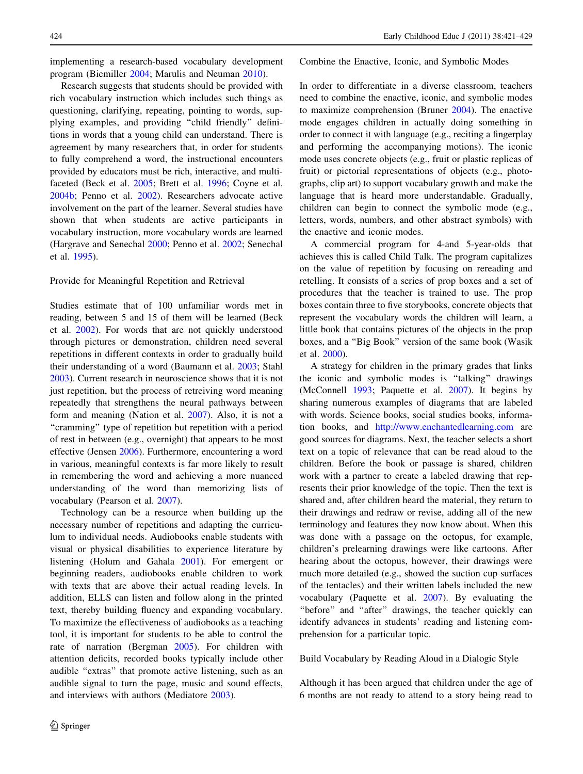implementing a research-based vocabulary development program (Biemiller 2004; Marulis and Neuman 2010).

Research suggests that students should be provided with rich vocabulary instruction which includes such things as questioning, clarifying, repeating, pointing to words, supplying examples, and providing ''child friendly'' definitions in words that a young child can understand. There is agreement by many researchers that, in order for students to fully comprehend a word, the instructional encounters provided by educators must be rich, interactive, and multifaceted (Beck et al. 2005; Brett et al. 1996; Coyne et al. 2004b; Penno et al. 2002). Researchers advocate active involvement on the part of the learner. Several studies have shown that when students are active participants in vocabulary instruction, more vocabulary words are learned (Hargrave and Senechal 2000; Penno et al. 2002; Senechal et al. 1995).

#### Provide for Meaningful Repetition and Retrieval

Studies estimate that of 100 unfamiliar words met in reading, between 5 and 15 of them will be learned (Beck et al. 2002). For words that are not quickly understood through pictures or demonstration, children need several repetitions in different contexts in order to gradually build their understanding of a word (Baumann et al. 2003; Stahl 2003). Current research in neuroscience shows that it is not just repetition, but the process of retreiving word meaning repeatedly that strengthens the neural pathways between form and meaning (Nation et al. 2007). Also, it is not a ''cramming'' type of repetition but repetition with a period of rest in between (e.g., overnight) that appears to be most effective (Jensen 2006). Furthermore, encountering a word in various, meaningful contexts is far more likely to result in remembering the word and achieving a more nuanced understanding of the word than memorizing lists of vocabulary (Pearson et al. 2007).

Technology can be a resource when building up the necessary number of repetitions and adapting the curriculum to individual needs. Audiobooks enable students with visual or physical disabilities to experience literature by listening (Holum and Gahala 2001). For emergent or beginning readers, audiobooks enable children to work with texts that are above their actual reading levels. In addition, ELLS can listen and follow along in the printed text, thereby building fluency and expanding vocabulary. To maximize the effectiveness of audiobooks as a teaching tool, it is important for students to be able to control the rate of narration (Bergman 2005). For children with attention deficits, recorded books typically include other audible ''extras'' that promote active listening, such as an audible signal to turn the page, music and sound effects, and interviews with authors (Mediatore 2003).

Combine the Enactive, Iconic, and Symbolic Modes

In order to differentiate in a diverse classroom, teachers need to combine the enactive, iconic, and symbolic modes to maximize comprehension (Bruner 2004). The enactive mode engages children in actually doing something in order to connect it with language (e.g., reciting a fingerplay and performing the accompanying motions). The iconic mode uses concrete objects (e.g., fruit or plastic replicas of fruit) or pictorial representations of objects (e.g., photographs, clip art) to support vocabulary growth and make the language that is heard more understandable. Gradually, children can begin to connect the symbolic mode (e.g., letters, words, numbers, and other abstract symbols) with the enactive and iconic modes.

A commercial program for 4-and 5-year-olds that achieves this is called Child Talk. The program capitalizes on the value of repetition by focusing on rereading and retelling. It consists of a series of prop boxes and a set of procedures that the teacher is trained to use. The prop boxes contain three to five storybooks, concrete objects that represent the vocabulary words the children will learn, a little book that contains pictures of the objects in the prop boxes, and a ''Big Book'' version of the same book (Wasik et al. 2000).

A strategy for children in the primary grades that links the iconic and symbolic modes is ''talking'' drawings (McConnell 1993; Paquette et al. 2007). It begins by sharing numerous examples of diagrams that are labeled with words. Science books, social studies books, information books, and <http://www.enchantedlearning.com> are good sources for diagrams. Next, the teacher selects a short text on a topic of relevance that can be read aloud to the children. Before the book or passage is shared, children work with a partner to create a labeled drawing that represents their prior knowledge of the topic. Then the text is shared and, after children heard the material, they return to their drawings and redraw or revise, adding all of the new terminology and features they now know about. When this was done with a passage on the octopus, for example, children's prelearning drawings were like cartoons. After hearing about the octopus, however, their drawings were much more detailed (e.g., showed the suction cup surfaces of the tentacles) and their written labels included the new vocabulary (Paquette et al. 2007). By evaluating the "before" and "after" drawings, the teacher quickly can identify advances in students' reading and listening comprehension for a particular topic.

### Build Vocabulary by Reading Aloud in a Dialogic Style

Although it has been argued that children under the age of 6 months are not ready to attend to a story being read to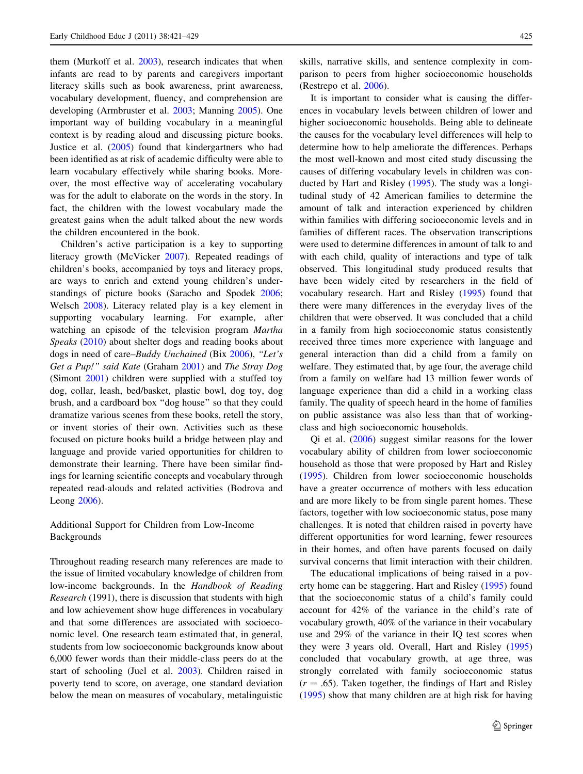them (Murkoff et al. 2003), research indicates that when infants are read to by parents and caregivers important literacy skills such as book awareness, print awareness, vocabulary development, fluency, and comprehension are developing (Armbruster et al. 2003; Manning 2005). One important way of building vocabulary in a meaningful context is by reading aloud and discussing picture books. Justice et al. (2005) found that kindergartners who had been identified as at risk of academic difficulty were able to learn vocabulary effectively while sharing books. Moreover, the most effective way of accelerating vocabulary was for the adult to elaborate on the words in the story. In fact, the children with the lowest vocabulary made the greatest gains when the adult talked about the new words the children encountered in the book.

Children's active participation is a key to supporting literacy growth (McVicker 2007). Repeated readings of children's books, accompanied by toys and literacy props, are ways to enrich and extend young children's understandings of picture books (Saracho and Spodek 2006; Welsch 2008). Literacy related play is a key element in supporting vocabulary learning. For example, after watching an episode of the television program Martha Speaks (2010) about shelter dogs and reading books about dogs in need of care–Buddy Unchained (Bix 2006), "Let's Get a Pup!" said Kate (Graham 2001) and The Stray Dog (Simont 2001) children were supplied with a stuffed toy dog, collar, leash, bed/basket, plastic bowl, dog toy, dog brush, and a cardboard box ''dog house'' so that they could dramatize various scenes from these books, retell the story, or invent stories of their own. Activities such as these focused on picture books build a bridge between play and language and provide varied opportunities for children to demonstrate their learning. There have been similar findings for learning scientific concepts and vocabulary through repeated read-alouds and related activities (Bodrova and Leong 2006).

Additional Support for Children from Low-Income Backgrounds

Throughout reading research many references are made to the issue of limited vocabulary knowledge of children from low-income backgrounds. In the Handbook of Reading Research (1991), there is discussion that students with high and low achievement show huge differences in vocabulary and that some differences are associated with socioeconomic level. One research team estimated that, in general, students from low socioeconomic backgrounds know about 6,000 fewer words than their middle-class peers do at the start of schooling (Juel et al. 2003). Children raised in poverty tend to score, on average, one standard deviation below the mean on measures of vocabulary, metalinguistic skills, narrative skills, and sentence complexity in comparison to peers from higher socioeconomic households (Restrepo et al. 2006).

It is important to consider what is causing the differences in vocabulary levels between children of lower and higher socioeconomic households. Being able to delineate the causes for the vocabulary level differences will help to determine how to help ameliorate the differences. Perhaps the most well-known and most cited study discussing the causes of differing vocabulary levels in children was conducted by Hart and Risley (1995). The study was a longitudinal study of 42 American families to determine the amount of talk and interaction experienced by children within families with differing socioeconomic levels and in families of different races. The observation transcriptions were used to determine differences in amount of talk to and with each child, quality of interactions and type of talk observed. This longitudinal study produced results that have been widely cited by researchers in the field of vocabulary research. Hart and Risley (1995) found that there were many differences in the everyday lives of the children that were observed. It was concluded that a child in a family from high socioeconomic status consistently received three times more experience with language and general interaction than did a child from a family on welfare. They estimated that, by age four, the average child from a family on welfare had 13 million fewer words of language experience than did a child in a working class family. The quality of speech heard in the home of families on public assistance was also less than that of workingclass and high socioeconomic households.

Qi et al. (2006) suggest similar reasons for the lower vocabulary ability of children from lower socioeconomic household as those that were proposed by Hart and Risley (1995). Children from lower socioeconomic households have a greater occurrence of mothers with less education and are more likely to be from single parent homes. These factors, together with low socioeconomic status, pose many challenges. It is noted that children raised in poverty have different opportunities for word learning, fewer resources in their homes, and often have parents focused on daily survival concerns that limit interaction with their children.

The educational implications of being raised in a poverty home can be staggering. Hart and Risley (1995) found that the socioeconomic status of a child's family could account for 42% of the variance in the child's rate of vocabulary growth, 40% of the variance in their vocabulary use and 29% of the variance in their IQ test scores when they were 3 years old. Overall, Hart and Risley (1995) concluded that vocabulary growth, at age three, was strongly correlated with family socioeconomic status  $(r = .65)$ . Taken together, the findings of Hart and Risley (1995) show that many children are at high risk for having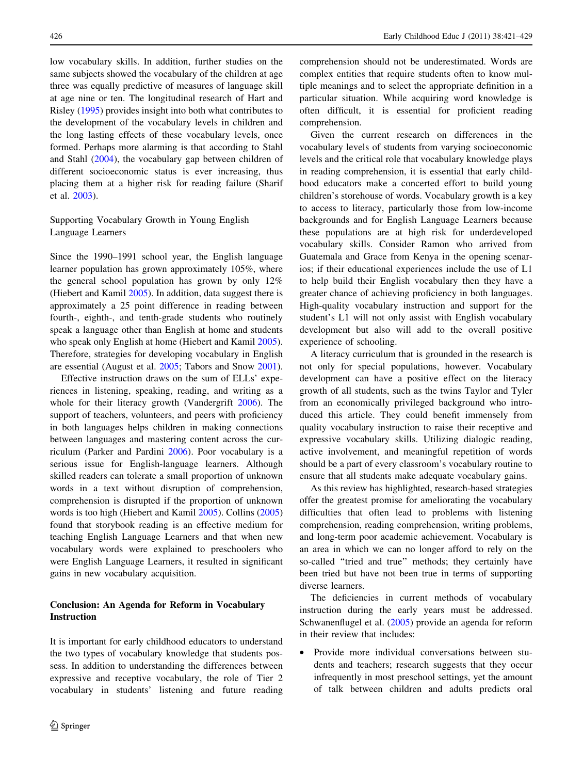low vocabulary skills. In addition, further studies on the same subjects showed the vocabulary of the children at age three was equally predictive of measures of language skill at age nine or ten. The longitudinal research of Hart and Risley (1995) provides insight into both what contributes to the development of the vocabulary levels in children and the long lasting effects of these vocabulary levels, once formed. Perhaps more alarming is that according to Stahl and Stahl (2004), the vocabulary gap between children of different socioeconomic status is ever increasing, thus placing them at a higher risk for reading failure (Sharif et al. 2003).

# Supporting Vocabulary Growth in Young English Language Learners

Since the 1990–1991 school year, the English language learner population has grown approximately 105%, where the general school population has grown by only 12% (Hiebert and Kamil 2005). In addition, data suggest there is approximately a 25 point difference in reading between fourth-, eighth-, and tenth-grade students who routinely speak a language other than English at home and students who speak only English at home (Hiebert and Kamil 2005). Therefore, strategies for developing vocabulary in English are essential (August et al. 2005; Tabors and Snow 2001).

Effective instruction draws on the sum of ELLs' experiences in listening, speaking, reading, and writing as a whole for their literacy growth (Vandergrift 2006). The support of teachers, volunteers, and peers with proficiency in both languages helps children in making connections between languages and mastering content across the curriculum (Parker and Pardini 2006). Poor vocabulary is a serious issue for English-language learners. Although skilled readers can tolerate a small proportion of unknown words in a text without disruption of comprehension, comprehension is disrupted if the proportion of unknown words is too high (Hiebert and Kamil 2005). Collins (2005) found that storybook reading is an effective medium for teaching English Language Learners and that when new vocabulary words were explained to preschoolers who were English Language Learners, it resulted in significant gains in new vocabulary acquisition.

# Conclusion: An Agenda for Reform in Vocabulary Instruction

It is important for early childhood educators to understand the two types of vocabulary knowledge that students possess. In addition to understanding the differences between expressive and receptive vocabulary, the role of Tier 2 vocabulary in students' listening and future reading comprehension should not be underestimated. Words are complex entities that require students often to know multiple meanings and to select the appropriate definition in a particular situation. While acquiring word knowledge is often difficult, it is essential for proficient reading comprehension.

Given the current research on differences in the vocabulary levels of students from varying socioeconomic levels and the critical role that vocabulary knowledge plays in reading comprehension, it is essential that early childhood educators make a concerted effort to build young children's storehouse of words. Vocabulary growth is a key to access to literacy, particularly those from low-income backgrounds and for English Language Learners because these populations are at high risk for underdeveloped vocabulary skills. Consider Ramon who arrived from Guatemala and Grace from Kenya in the opening scenarios; if their educational experiences include the use of L1 to help build their English vocabulary then they have a greater chance of achieving proficiency in both languages. High-quality vocabulary instruction and support for the student's L1 will not only assist with English vocabulary development but also will add to the overall positive experience of schooling.

A literacy curriculum that is grounded in the research is not only for special populations, however. Vocabulary development can have a positive effect on the literacy growth of all students, such as the twins Taylor and Tyler from an economically privileged background who introduced this article. They could benefit immensely from quality vocabulary instruction to raise their receptive and expressive vocabulary skills. Utilizing dialogic reading, active involvement, and meaningful repetition of words should be a part of every classroom's vocabulary routine to ensure that all students make adequate vocabulary gains.

As this review has highlighted, research-based strategies offer the greatest promise for ameliorating the vocabulary difficulties that often lead to problems with listening comprehension, reading comprehension, writing problems, and long-term poor academic achievement. Vocabulary is an area in which we can no longer afford to rely on the so-called ''tried and true'' methods; they certainly have been tried but have not been true in terms of supporting diverse learners.

The deficiencies in current methods of vocabulary instruction during the early years must be addressed. Schwanenflugel et al. (2005) provide an agenda for reform in their review that includes:

• Provide more individual conversations between students and teachers; research suggests that they occur infrequently in most preschool settings, yet the amount of talk between children and adults predicts oral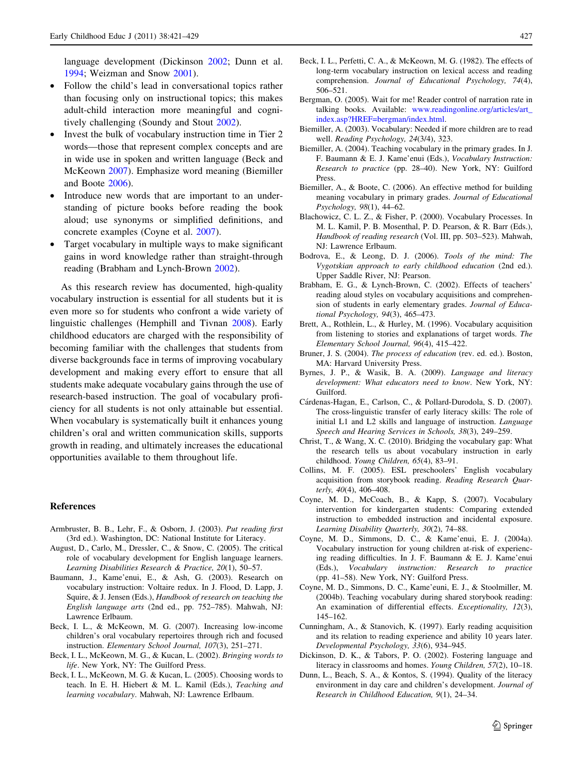language development (Dickinson 2002; Dunn et al. 1994; Weizman and Snow 2001).

- Follow the child's lead in conversational topics rather than focusing only on instructional topics; this makes adult-child interaction more meaningful and cognitively challenging (Soundy and Stout 2002).
- Invest the bulk of vocabulary instruction time in Tier 2 words—those that represent complex concepts and are in wide use in spoken and written language (Beck and McKeown 2007). Emphasize word meaning (Biemiller and Boote 2006).
- Introduce new words that are important to an understanding of picture books before reading the book aloud; use synonyms or simplified definitions, and concrete examples (Coyne et al. 2007).
- Target vocabulary in multiple ways to make significant gains in word knowledge rather than straight-through reading (Brabham and Lynch-Brown 2002).

As this research review has documented, high-quality vocabulary instruction is essential for all students but it is even more so for students who confront a wide variety of linguistic challenges (Hemphill and Tivnan 2008). Early childhood educators are charged with the responsibility of becoming familiar with the challenges that students from diverse backgrounds face in terms of improving vocabulary development and making every effort to ensure that all students make adequate vocabulary gains through the use of research-based instruction. The goal of vocabulary proficiency for all students is not only attainable but essential. When vocabulary is systematically built it enhances young children's oral and written communication skills, supports growth in reading, and ultimately increases the educational opportunities available to them throughout life.

#### References

- Armbruster, B. B., Lehr, F., & Osborn, J. (2003). Put reading first (3rd ed.). Washington, DC: National Institute for Literacy.
- August, D., Carlo, M., Dressler, C., & Snow, C. (2005). The critical role of vocabulary development for English language learners. Learning Disabilities Research & Practice, 20(1), 50–57.
- Baumann, J., Kame'enui, E., & Ash, G. (2003). Research on vocabulary instruction: Voltaire redux. In J. Flood, D. Lapp, J. Squire, & J. Jensen (Eds.), Handbook of research on teaching the English language arts (2nd ed., pp. 752–785). Mahwah, NJ: Lawrence Erlbaum.
- Beck, I. L., & McKeown, M. G. (2007). Increasing low-income children's oral vocabulary repertoires through rich and focused instruction. Elementary School Journal, 107(3), 251–271.
- Beck, I. L., McKeown, M. G., & Kucan, L. (2002). Bringing words to life. New York, NY: The Guilford Press.
- Beck, I. L., McKeown, M. G. & Kucan, L. (2005). Choosing words to teach. In E. H. Hiebert & M. L. Kamil (Eds.), Teaching and learning vocabulary. Mahwah, NJ: Lawrence Erlbaum.
- Beck, I. L., Perfetti, C. A., & McKeown, M. G. (1982). The effects of long-term vocabulary instruction on lexical access and reading comprehension. Journal of Educational Psychology, 74(4), 506–521.
- Bergman, O. (2005). Wait for me! Reader control of narration rate in talking books. Available: [www.readingonline.org/articles/art\\_](http://www.readingonline.org/articles/art_index.asp?HREF=bergman/index.html) [index.asp?HREF=bergman/index.html](http://www.readingonline.org/articles/art_index.asp?HREF=bergman/index.html).
- Biemiller, A. (2003). Vocabulary: Needed if more children are to read well. Reading Psychology, 24(3/4), 323.
- Biemiller, A. (2004). Teaching vocabulary in the primary grades. In J. F. Baumann & E. J. Kame'enui (Eds.), Vocabulary Instruction: Research to practice (pp. 28–40). New York, NY: Guilford Press.
- Biemiller, A., & Boote, C. (2006). An effective method for building meaning vocabulary in primary grades. Journal of Educational Psychology, 98(1), 44–62.
- Blachowicz, C. L. Z., & Fisher, P. (2000). Vocabulary Processes. In M. L. Kamil, P. B. Mosenthal, P. D. Pearson, & R. Barr (Eds.), Handbook of reading research (Vol. III, pp. 503–523). Mahwah, NJ: Lawrence Erlbaum.
- Bodrova, E., & Leong, D. J. (2006). Tools of the mind: The Vygotskian approach to early childhood education (2nd ed.). Upper Saddle River, NJ: Pearson.
- Brabham, E. G., & Lynch-Brown, C. (2002). Effects of teachers' reading aloud styles on vocabulary acquisitions and comprehension of students in early elementary grades. Journal of Educational Psychology, 94(3), 465–473.
- Brett, A., Rothlein, L., & Hurley, M. (1996). Vocabulary acquisition from listening to stories and explanations of target words. The Elementary School Journal, 96(4), 415–422.
- Bruner, J. S. (2004). The process of education (rev. ed. ed.). Boston, MA: Harvard University Press.
- Byrnes, J. P., & Wasik, B. A. (2009). Language and literacy development: What educators need to know. New York, NY: Guilford.
- Cárdenas-Hagan, E., Carlson, C., & Pollard-Durodola, S. D. (2007). The cross-linguistic transfer of early literacy skills: The role of initial L1 and L2 skills and language of instruction. Language Speech and Hearing Services in Schools, 38(3), 249–259.
- Christ, T., & Wang, X. C. (2010). Bridging the vocabulary gap: What the research tells us about vocabulary instruction in early childhood. Young Children, 65(4), 83–91.
- Collins, M. F. (2005). ESL preschoolers' English vocabulary acquisition from storybook reading. Reading Research Quarterly, 40(4), 406–408.
- Coyne, M. D., McCoach, B., & Kapp, S. (2007). Vocabulary intervention for kindergarten students: Comparing extended instruction to embedded instruction and incidental exposure. Learning Disability Quarterly, 30(2), 74–88.
- Coyne, M. D., Simmons, D. C., & Kame'enui, E. J. (2004a). Vocabulary instruction for young children at-risk of experiencing reading difficulties. In J. F. Baumann & E. J. Kame'enui (Eds.), Vocabulary instruction: Research to practice (pp. 41–58). New York, NY: Guilford Press.
- Coyne, M. D., Simmons, D. C., Kame'euni, E. J., & Stoolmiller, M. (2004b). Teaching vocabulary during shared storybook reading: An examination of differential effects. Exceptionality, 12(3), 145–162.
- Cunningham, A., & Stanovich, K. (1997). Early reading acquisition and its relation to reading experience and ability 10 years later. Developmental Psychology, 33(6), 934–945.
- Dickinson, D. K., & Tabors, P. O. (2002). Fostering language and literacy in classrooms and homes. Young Children, 57(2), 10–18.
- Dunn, L., Beach, S. A., & Kontos, S. (1994). Quality of the literacy environment in day care and children's development. Journal of Research in Childhood Education, 9(1), 24–34.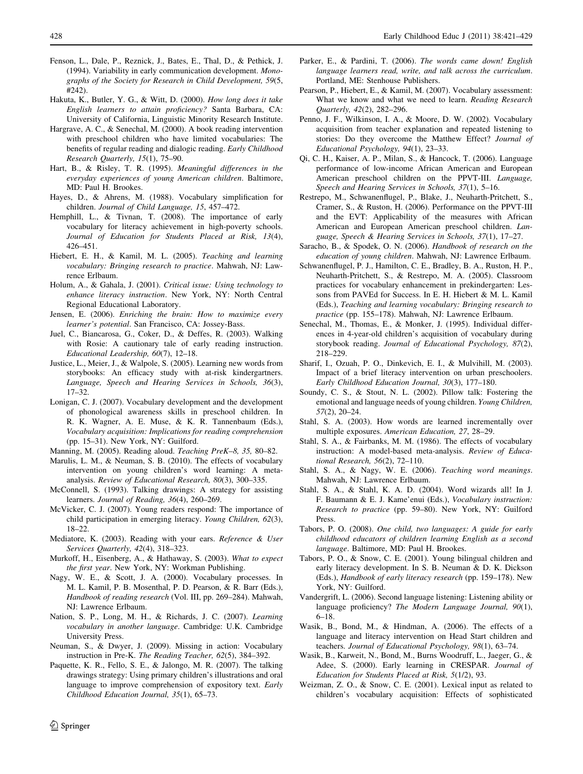- Fenson, L., Dale, P., Reznick, J., Bates, E., Thal, D., & Pethick, J. (1994). Variability in early communication development. Monographs of the Society for Research in Child Development, 59(5, #242).
- Hakuta, K., Butler, Y. G., & Witt, D. (2000). How long does it take English learners to attain proficiency? Santa Barbara, CA: University of California, Linguistic Minority Research Institute.
- Hargrave, A. C., & Senechal, M. (2000). A book reading intervention with preschool children who have limited vocabularies: The benefits of regular reading and dialogic reading. Early Childhood Research Quarterly, 15(1), 75–90.
- Hart, B., & Risley, T. R. (1995). Meaningful differences in the everyday experiences of young American children. Baltimore, MD: Paul H. Brookes.
- Hayes, D., & Ahrens, M. (1988). Vocabulary simplification for children. Journal of Child Language, 15, 457–472.
- Hemphill, L., & Tivnan, T. (2008). The importance of early vocabulary for literacy achievement in high-poverty schools. Journal of Education for Students Placed at Risk, 13(4), 426–451.
- Hiebert, E. H., & Kamil, M. L. (2005). Teaching and learning vocabulary: Bringing research to practice. Mahwah, NJ: Lawrence Erlbaum.
- Holum, A., & Gahala, J. (2001). Critical issue: Using technology to enhance literacy instruction. New York, NY: North Central Regional Educational Laboratory.
- Jensen, E. (2006). Enriching the brain: How to maximize every learner's potential. San Francisco, CA: Jossey-Bass.
- Juel, C., Biancarosa, G., Coker, D., & Deffes, R. (2003). Walking with Rosie: A cautionary tale of early reading instruction. Educational Leadership, 60(7), 12–18.
- Justice, L., Meier, J., & Walpole, S. (2005). Learning new words from storybooks: An efficacy study with at-risk kindergartners. Language, Speech and Hearing Services in Schools, 36(3), 17–32.
- Lonigan, C. J. (2007). Vocabulary development and the development of phonological awareness skills in preschool children. In R. K. Wagner, A. E. Muse, & K. R. Tannenbaum (Eds.), Vocabulary acquisition: Implications for reading comprehension (pp. 15–31). New York, NY: Guilford.

Manning, M. (2005). Reading aloud. Teaching PreK-8, 35, 80-82.

- Marulis, L. M., & Neuman, S. B. (2010). The effects of vocabulary intervention on young children's word learning: A metaanalysis. Review of Educational Research, 80(3), 300–335.
- McConnell, S. (1993). Talking drawings: A strategy for assisting learners. Journal of Reading, 36(4), 260–269.
- McVicker, C. J. (2007). Young readers respond: The importance of child participation in emerging literacy. Young Children, 62(3), 18–22.
- Mediatore, K. (2003). Reading with your ears. Reference & User Services Quarterly, 42(4), 318–323.
- Murkoff, H., Eisenberg, A., & Hathaway, S. (2003). What to expect the first year. New York, NY: Workman Publishing.
- Nagy, W. E., & Scott, J. A. (2000). Vocabulary processes. In M. L. Kamil, P. B. Mosenthal, P. D. Pearson, & R. Barr (Eds.), Handbook of reading research (Vol. III, pp. 269–284). Mahwah, NJ: Lawrence Erlbaum.
- Nation, S. P., Long, M. H., & Richards, J. C. (2007). Learning vocabulary in another language. Cambridge: U.K. Cambridge University Press.
- Neuman, S., & Dwyer, J. (2009). Missing in action: Vocabulary instruction in Pre-K. The Reading Teacher, 62(5), 384–392.
- Paquette, K. R., Fello, S. E., & Jalongo, M. R. (2007). The talking drawings strategy: Using primary children's illustrations and oral language to improve comprehension of expository text. Early Childhood Education Journal, 35(1), 65–73.
- Parker, E., & Pardini, T. (2006). The words came down! English language learners read, write, and talk across the curriculum. Portland, ME: Stenhouse Publishers.
- Pearson, P., Hiebert, E., & Kamil, M. (2007). Vocabulary assessment: What we know and what we need to learn. Reading Research Quarterly, 42(2), 282–296.
- Penno, J. F., Wilkinson, I. A., & Moore, D. W. (2002). Vocabulary acquisition from teacher explanation and repeated listening to stories: Do they overcome the Matthew Effect? Journal of Educational Psychology, 94(1), 23–33.
- Qi, C. H., Kaiser, A. P., Milan, S., & Hancock, T. (2006). Language performance of low-income African American and European American preschool children on the PPVT-III. Language, Speech and Hearing Services in Schools, 37(1), 5–16.
- Restrepo, M., Schwanenflugel, P., Blake, J., Neuharth-Pritchett, S., Cramer, S., & Ruston, H. (2006). Performance on the PPVT-III and the EVT: Applicability of the measures with African American and European American preschool children. Language, Speech & Hearing Services in Schools, 37(1), 17–27.
- Saracho, B., & Spodek, O. N. (2006). Handbook of research on the education of young children. Mahwah, NJ: Lawrence Erlbaum.
- Schwanenflugel, P. J., Hamilton, C. E., Bradley, B. A., Ruston, H. P., Neuharth-Pritchett, S., & Restrepo, M. A. (2005). Classroom practices for vocabulary enhancement in prekindergarten: Lessons from PAVEd for Success. In E. H. Hiebert & M. L. Kamil (Eds.), Teaching and learning vocabulary: Bringing research to practice (pp. 155–178). Mahwah, NJ: Lawrence Erlbaum.
- Senechal, M., Thomas, E., & Monker, J. (1995). Individual differences in 4-year-old children's acquisition of vocabulary during storybook reading. Journal of Educational Psychology, 87(2), 218–229.
- Sharif, I., Ozuah, P. O., Dinkevich, E. I., & Mulvihill, M. (2003). Impact of a brief literacy intervention on urban preschoolers. Early Childhood Education Journal, 30(3), 177–180.
- Soundy, C. S., & Stout, N. L. (2002). Pillow talk: Fostering the emotional and language needs of young children. Young Children, 57(2), 20–24.
- Stahl, S. A. (2003). How words are learned incrementally over multiple exposures. American Education, 27, 28–29.
- Stahl, S. A., & Fairbanks, M. M. (1986). The effects of vocabulary instruction: A model-based meta-analysis. Review of Educational Research, 56(2), 72–110.
- Stahl, S. A., & Nagy, W. E. (2006). Teaching word meanings. Mahwah, NJ: Lawrence Erlbaum.
- Stahl, S. A., & Stahl, K. A. D. (2004). Word wizards all! In J. F. Baumann & E. J. Kame'enui (Eds.), Vocabulary instruction: Research to practice (pp. 59–80). New York, NY: Guilford Press.
- Tabors, P. O. (2008). One child, two languages: A guide for early childhood educators of children learning English as a second language. Baltimore, MD: Paul H. Brookes.
- Tabors, P. O., & Snow, C. E. (2001). Young bilingual children and early literacy development. In S. B. Neuman & D. K. Dickson (Eds.), Handbook of early literacy research (pp. 159–178). New York, NY: Guilford.
- Vandergrift, L. (2006). Second language listening: Listening ability or language proficiency? The Modern Language Journal, 90(1), 6–18.
- Wasik, B., Bond, M., & Hindman, A. (2006). The effects of a language and literacy intervention on Head Start children and teachers. Journal of Educational Psychology, 98(1), 63–74.
- Wasik, B., Karweit, N., Bond, M., Burns Woodruff, L., Jaeger, G., & Adee, S. (2000). Early learning in CRESPAR. Journal of Education for Students Placed at Risk, 5(1/2), 93.
- Weizman, Z. O., & Snow, C. E. (2001). Lexical input as related to children's vocabulary acquisition: Effects of sophisticated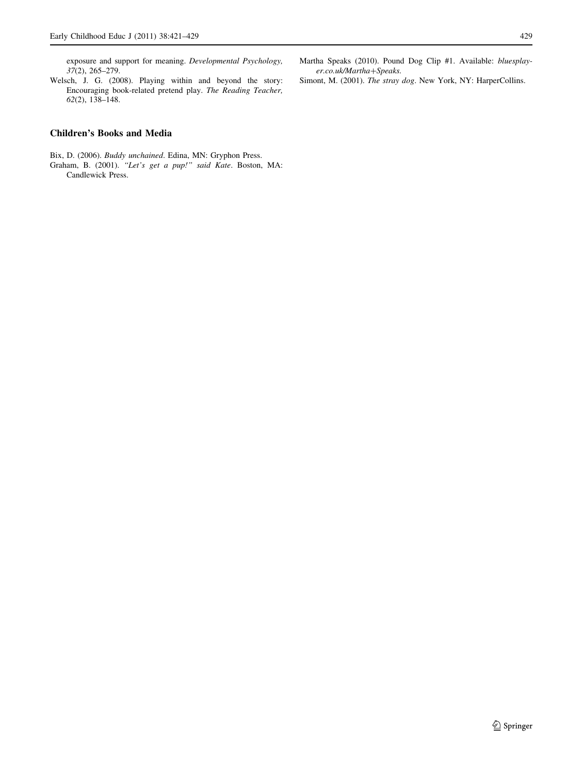exposure and support for meaning. Developmental Psychology, 37(2), 265–279.

Welsch, J. G. (2008). Playing within and beyond the story: Encouraging book-related pretend play. The Reading Teacher, 62(2), 138–148.

#### Children's Books and Media

Bix, D. (2006). Buddy unchained. Edina, MN: Gryphon Press.

Graham, B. (2001). "Let's get a pup!" said Kate. Boston, MA: Candlewick Press.

- Martha Speaks (2010). Pound Dog Clip #1. Available: bluesplayer.co.uk/Martha+Speaks.
- Simont, M. (2001). The stray dog. New York, NY: HarperCollins.